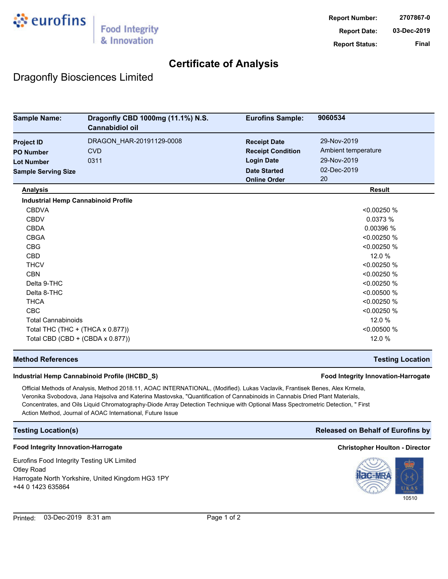

## **Certificate of Analysis**

## Dragonfly Biosciences Limited

| <b>Sample Name:</b>                        | Dragonfly CBD 1000mg (11.1%) N.S.<br><b>Cannabidiol oil</b> | <b>Eurofins Sample:</b>  | 9060534             |
|--------------------------------------------|-------------------------------------------------------------|--------------------------|---------------------|
| <b>Project ID</b>                          | DRAGON_HAR-20191129-0008                                    | <b>Receipt Date</b>      | 29-Nov-2019         |
| <b>PO Number</b>                           | <b>CVD</b>                                                  | <b>Receipt Condition</b> | Ambient temperature |
| <b>Lot Number</b>                          | 0311                                                        | <b>Login Date</b>        | 29-Nov-2019         |
| <b>Sample Serving Size</b>                 |                                                             | <b>Date Started</b>      | 02-Dec-2019         |
|                                            |                                                             | <b>Online Order</b>      | 20                  |
| <b>Analysis</b>                            |                                                             |                          | <b>Result</b>       |
| <b>Industrial Hemp Cannabinoid Profile</b> |                                                             |                          |                     |
| <b>CBDVA</b>                               |                                                             |                          | < 0.00250 %         |
| <b>CBDV</b>                                |                                                             |                          | 0.0373%             |
| <b>CBDA</b>                                |                                                             |                          | 0.00396 %           |
| <b>CBGA</b>                                |                                                             |                          | < 0.00250 %         |
| <b>CBG</b>                                 |                                                             |                          | < 0.00250 %         |
| <b>CBD</b>                                 |                                                             |                          | 12.0 %              |
| <b>THCV</b>                                |                                                             |                          | < 0.00250 %         |
| <b>CBN</b>                                 |                                                             |                          | < 0.00250 %         |
| Delta 9-THC                                |                                                             |                          | < 0.00250 %         |
| Delta 8-THC                                |                                                             |                          | < 0.00500 %         |
| <b>THCA</b>                                |                                                             |                          | < 0.00250 %         |
| <b>CBC</b>                                 |                                                             |                          | < 0.00250 %         |
| <b>Total Cannabinoids</b>                  |                                                             |                          | 12.0 %              |
| Total THC (THC + (THCA x 0.877))           |                                                             |                          | < 0.00500 %         |
|                                            | Total CBD (CBD + (CBDA x 0.877))                            |                          | 12.0 %              |

### **Method References Testing Location**

### **Industrial Hemp Cannabinoid Profile (IHCBD\_S) Food Integrity Innovation-Harrogate**

Official Methods of Analysis, Method 2018.11, AOAC INTERNATIONAL, (Modified). Lukas Vaclavik, Frantisek Benes, Alex Krmela, Veronika Svobodova, Jana Hajsolva and Katerina Mastovska, "Quantification of Cannabinoids in Cannabis Dried Plant Materials, Concentrates, and Oils Liquid Chromatography-Diode Array Detection Technique with Optional Mass Spectrometric Detection, " First Action Method, Journal of AOAC International, Future Issue

### **Food Integrity Innovation-Harrogate Christopher Houlton - Director**

Eurofins Food Integrity Testing UK Limited Otley Road Harrogate North Yorkshire, United Kingdom HG3 1PY +44 0 1423 635864

### **Testing Location(s) Released on Behalf of Eurofins by**